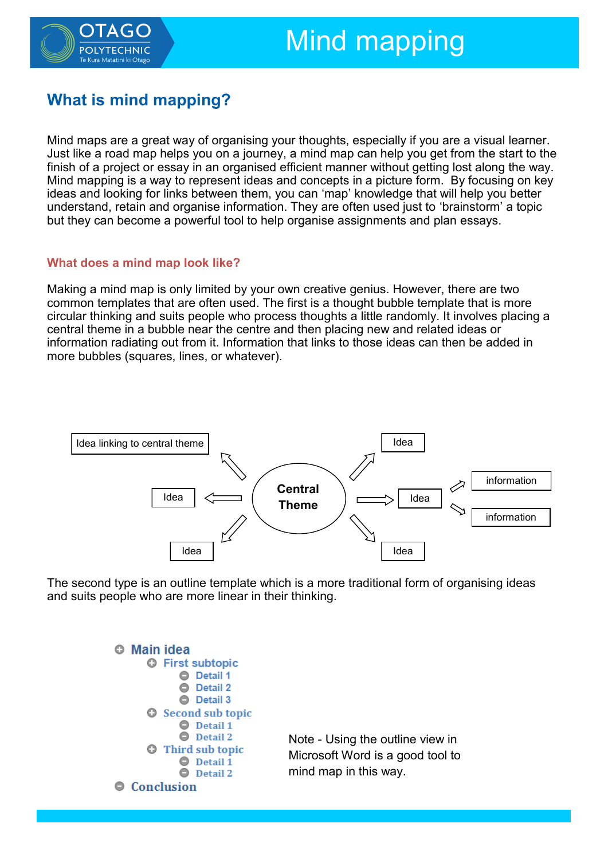

# Mind mapping

# **What is mind mapping?**

Mind maps are a great way of organising your thoughts, especially if you are a visual learner. Just like a road map helps you on a journey, a mind map can help you get from the start to the finish of a project or essay in an organised efficient manner without getting lost along the way. Mind mapping is a way to represent ideas and concepts in a picture form. By focusing on key ideas and looking for links between them, you can 'map' knowledge that will help you better understand, retain and organise information. They are often used just to 'brainstorm' a topic but they can become a powerful tool to help organise assignments and plan essays.

#### **What does a mind map look like?**

Making a mind map is only limited by your own creative genius. However, there are two common templates that are often used. The first is a thought bubble template that is more circular thinking and suits people who process thoughts a little randomly. It involves placing a central theme in a bubble near the centre and then placing new and related ideas or information radiating out from it. Information that links to those ideas can then be added in more bubbles (squares, lines, or whatever).



The second type is an outline template which is a more traditional form of organising ideas and suits people who are more linear in their thinking.



Note - Using the outline view in Microsoft Word is a good tool to mind map in this way.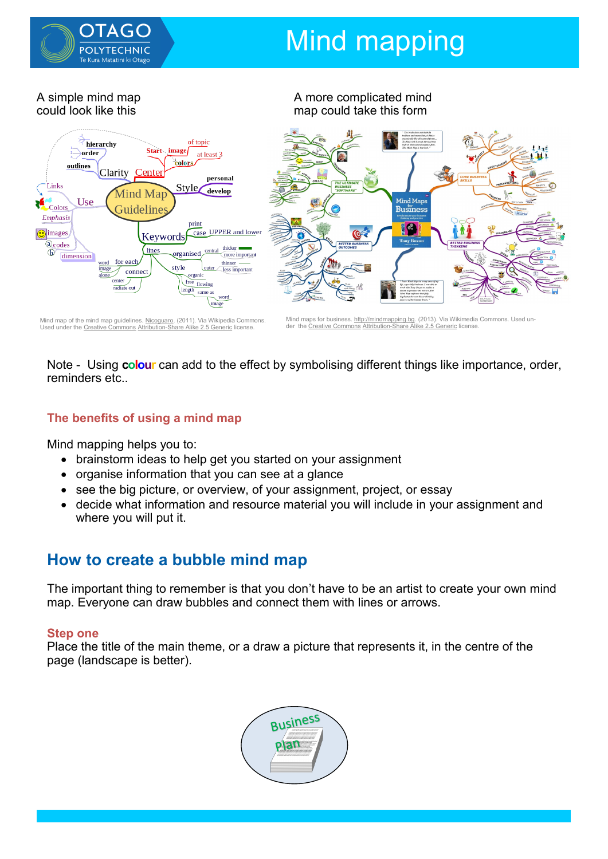

# **Mind mapping**

A more complicated mind

A simple mind map could look like this



Note - Using **colour** can add to the effect by symbolising different things like importance, order, reminders etc..

### **The benefits of using a mind map**

Used under the [Creative Commons](https://en.wikipedia.org/wiki/en:Creative_Commons) Attribution-[Share Alike 2.5 Generic](https://creativecommons.org/licenses/by-sa/2.5/deed.en) license.

Mind mapping helps you to:

- brainstorm ideas to help get you started on your assignment
- organise information that you can see at a glance
- see the big picture, or overview, of your assignment, project, or essay
- decide what information and resource material you will include in your assignment and where you will put it.

### **How to create a bubble mind map**

The important thing to remember is that you don't have to be an artist to create your own mind map. Everyone can draw bubbles and connect them with lines or arrows.

#### **Step one**

Place the title of the main theme, or a draw a picture that represents it, in the centre of the page (landscape is better).

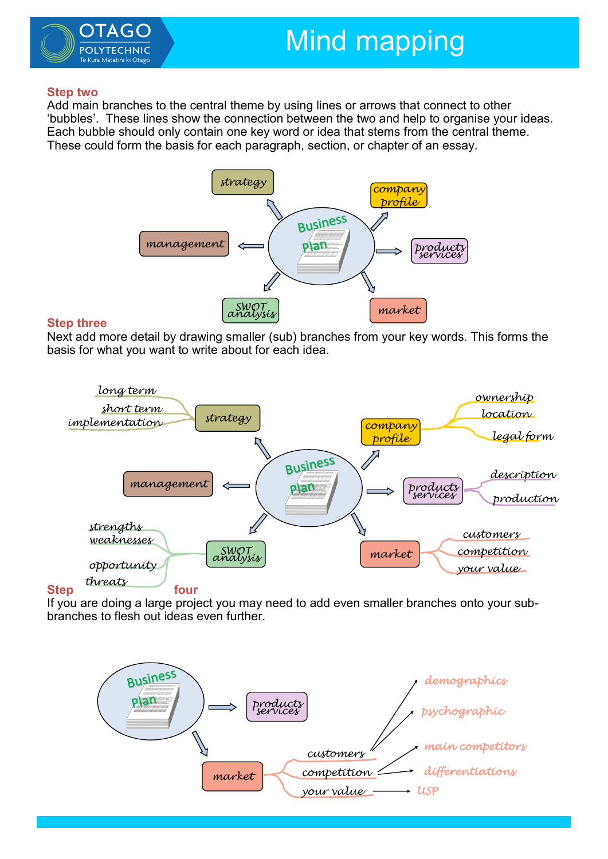

#### **Step two**

Add main branches to the central theme by using lines or arrows that connect to other 'bubbles'. These lines show the connection between the two and help to organise your ideas. Each bubble should only contain one key word or idea that stems from the central theme. These could form the basis for each paragraph, section, or chapter of an essay.



#### **Step three**

Next add more detail by drawing smaller (sub) branches from your key words. This forms the basis for what you want to write about for each idea.



If you are doing a large project you may need to add even smaller branches onto your subbranches to flesh out ideas even further.